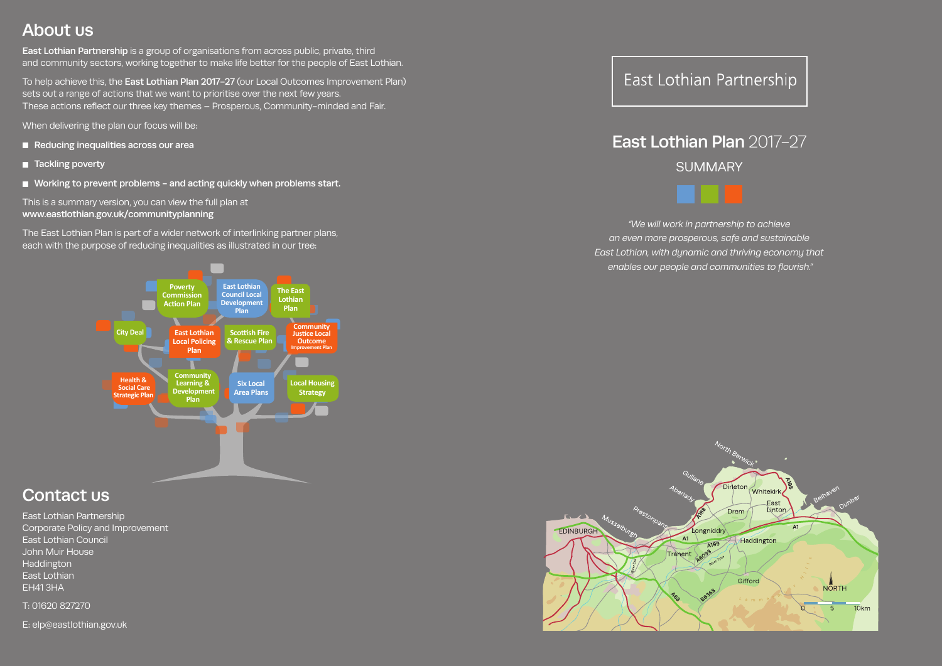# About us

East Lothian Partnership is a group of organisations from across public, private, third and community sectors, working together to make life better for the people of East Lothian.

To help achieve this, the East Lothian Plan 2017-27 (our Local Outcomes Improvement Plan) sets out a range of actions that we want to prioritise over the next few years. These actions reflect our three key themes – Prosperous, Community-minded and Fair.

When delivering the plan our focus will be:

- Reducing inequalities across our area
- Tackling poverty
- Working to prevent problems and acting quickly when problems start.

# East Lothian Plan 2017-27 **SUMMARY**



This is a summary version, you can view the full plan at www.eastlothian.gov.uk/communityplanning

The East Lothian Plan is part of a wider network of interlinking partner plans, each with the purpose of reducing inequalities as illustrated in our tree:

*"We will work in partnership to achieve an even more prosperous, safe and sustainable East Lothian, with dynamic and thriving economy that enables our people and communities to flourish."*





# Contact us

East Lothian Partnership Corporate Policy and Improvement East Lothian Council John Muir House **Haddington** East Lothian EH41 3HA

T: 01620 827270

E: elp@eastlothian.gov.uk

# East Lothian Partnership